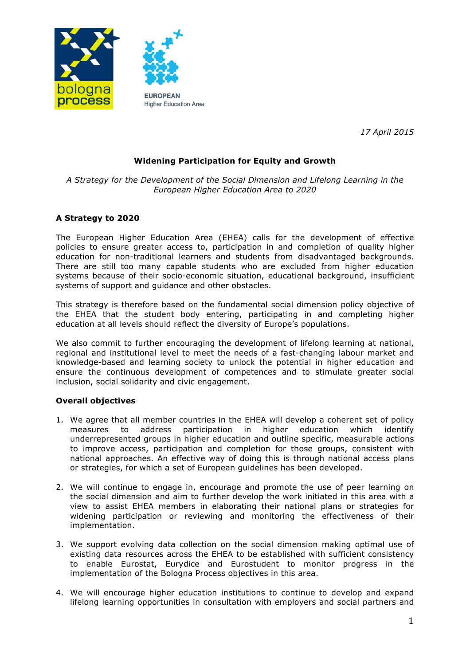

*17 April 2015*

# **Widening Participation for Equity and Growth**

*A Strategy for the Development of the Social Dimension and Lifelong Learning in the European Higher Education Area to 2020*

## **A Strategy to 2020**

The European Higher Education Area (EHEA) calls for the development of effective policies to ensure greater access to, participation in and completion of quality higher education for non-traditional learners and students from disadvantaged backgrounds. There are still too many capable students who are excluded from higher education systems because of their socio-economic situation, educational background, insufficient systems of support and guidance and other obstacles.

This strategy is therefore based on the fundamental social dimension policy objective of the EHEA that the student body entering, participating in and completing higher education at all levels should reflect the diversity of Europe's populations.

We also commit to further encouraging the development of lifelong learning at national, regional and institutional level to meet the needs of a fast-changing labour market and knowledge-based and learning society to unlock the potential in higher education and ensure the continuous development of competences and to stimulate greater social inclusion, social solidarity and civic engagement.

### **Overall objectives**

- 1. We agree that all member countries in the EHEA will develop a coherent set of policy measures to address participation in higher education which identify underrepresented groups in higher education and outline specific, measurable actions to improve access, participation and completion for those groups, consistent with national approaches. An effective way of doing this is through national access plans or strategies, for which a set of European guidelines has been developed.
- 2. We will continue to engage in, encourage and promote the use of peer learning on the social dimension and aim to further develop the work initiated in this area with a view to assist EHEA members in elaborating their national plans or strategies for widening participation or reviewing and monitoring the effectiveness of their implementation.
- 3. We support evolving data collection on the social dimension making optimal use of existing data resources across the EHEA to be established with sufficient consistency to enable Eurostat, Eurydice and Eurostudent to monitor progress in the implementation of the Bologna Process objectives in this area.
- 4. We will encourage higher education institutions to continue to develop and expand lifelong learning opportunities in consultation with employers and social partners and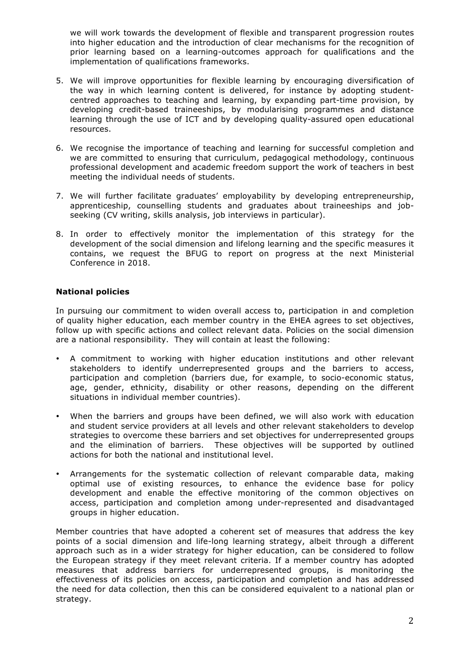we will work towards the development of flexible and transparent progression routes into higher education and the introduction of clear mechanisms for the recognition of prior learning based on a learning-outcomes approach for qualifications and the implementation of qualifications frameworks.

- 5. We will improve opportunities for flexible learning by encouraging diversification of the way in which learning content is delivered, for instance by adopting studentcentred approaches to teaching and learning, by expanding part-time provision, by developing credit-based traineeships, by modularising programmes and distance learning through the use of ICT and by developing quality-assured open educational resources.
- 6. We recognise the importance of teaching and learning for successful completion and we are committed to ensuring that curriculum, pedagogical methodology, continuous professional development and academic freedom support the work of teachers in best meeting the individual needs of students.
- 7. We will further facilitate graduates' employability by developing entrepreneurship, apprenticeship, counselling students and graduates about traineeships and jobseeking (CV writing, skills analysis, job interviews in particular).
- 8. In order to effectively monitor the implementation of this strategy for the development of the social dimension and lifelong learning and the specific measures it contains, we request the BFUG to report on progress at the next Ministerial Conference in 2018.

## **National policies**

In pursuing our commitment to widen overall access to, participation in and completion of quality higher education, each member country in the EHEA agrees to set objectives, follow up with specific actions and collect relevant data. Policies on the social dimension are a national responsibility. They will contain at least the following:

- A commitment to working with higher education institutions and other relevant stakeholders to identify underrepresented groups and the barriers to access, participation and completion (barriers due, for example, to socio-economic status, age, gender, ethnicity, disability or other reasons, depending on the different situations in individual member countries).
- When the barriers and groups have been defined, we will also work with education and student service providers at all levels and other relevant stakeholders to develop strategies to overcome these barriers and set objectives for underrepresented groups and the elimination of barriers. These objectives will be supported by outlined actions for both the national and institutional level.
- Arrangements for the systematic collection of relevant comparable data, making optimal use of existing resources, to enhance the evidence base for policy development and enable the effective monitoring of the common objectives on access, participation and completion among under-represented and disadvantaged groups in higher education.

Member countries that have adopted a coherent set of measures that address the key points of a social dimension and life-long learning strategy, albeit through a different approach such as in a wider strategy for higher education, can be considered to follow the European strategy if they meet relevant criteria. If a member country has adopted measures that address barriers for underrepresented groups, is monitoring the effectiveness of its policies on access, participation and completion and has addressed the need for data collection, then this can be considered equivalent to a national plan or strategy.